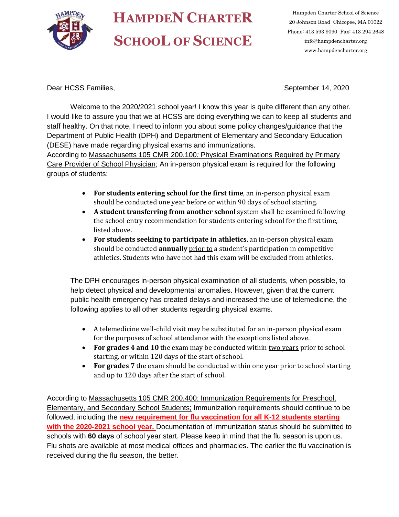

## **HAMPDEN CHARTER SCHOOL OF SCIENCE**

Hampden Charter School of Science 20 Johnson Road Chicopee, MA 01022 Phone: 413 593 9090 Fax: 413 294 2648 info@hampdencharter.org www.hampdencharter.org

Dear HCSS Families, No. 2020 September 14, 2020

Welcome to the 2020/2021 school year! I know this year is quite different than any other. I would like to assure you that we at HCSS are doing everything we can to keep all students and staff healthy. On that note, I need to inform you about some policy changes/guidance that the Department of Public Health (DPH) and Department of Elementary and Secondary Education (DESE) have made regarding physical exams and immunizations.

According to Massachusetts 105 CMR 200.100*:* Physical Examinations Required by Primary Care Provider of School Physician; An in-person physical exam is required for the following groups of students:

- **For students entering school for the first time**, an in-person physical exam should be conducted one year before or within 90 days of school starting.
- **A student transferring from another school** system shall be examined following the school entry recommendation for students entering school for the first time, listed above.
- **For students seeking to participate in athletics**, an in-person physical exam should be conducted **annually** prior to a student's participation in competitive athletics. Students who have not had this exam will be excluded from athletics.

The DPH encourages in-person physical examination of all students, when possible, to help detect physical and developmental anomalies. However, given that the current public health emergency has created delays and increased the use of telemedicine, the following applies to all other students regarding physical exams.

- A telemedicine well-child visit may be substituted for an in-person physical exam for the purposes of school attendance with the exceptions listed above.
- **For grades 4 and 10** the exam may be conducted within two years prior to school starting, or within 120 days of the start of school.
- For grades 7 the exam should be conducted within one year prior to school starting and up to 120 days after the start of school.

According to Massachusetts 105 CMR 200.400: Immunization Requirements for Preschool, Elementary, and Secondary School Students; Immunization requirements should continue to be followed, including the **new requirement for flu vaccination for all K-12 students starting with the 2020-2021 school year.** Documentation of immunization status should be submitted to schools with **60 days** of school year start. Please keep in mind that the flu season is upon us. Flu shots are available at most medical offices and pharmacies. The earlier the flu vaccination is received during the flu season, the better.